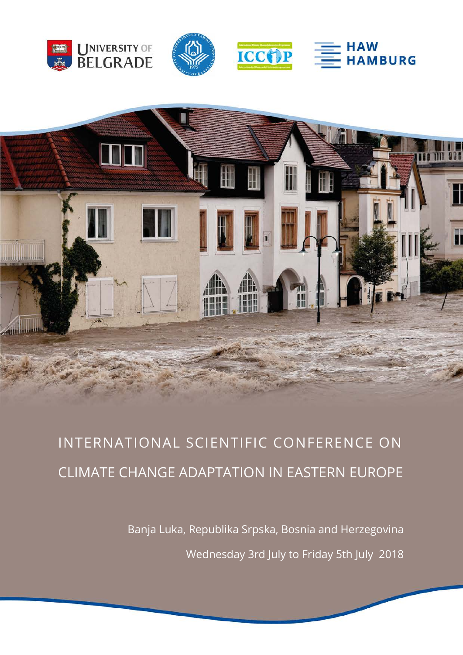









Banja Luka, Republika Srpska, Bosnia and Herzegovina Wednesday 3rd July to Friday 5th July 2018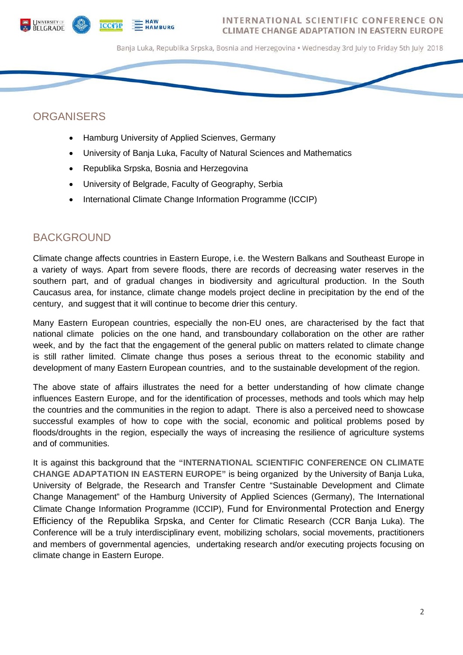



Banja Luka, Republika Srpska, Bosnia and Herzegovina • Wednesday 3rd July to Friday 5th July 2018

### **ORGANISERS**

- Hamburg University of Applied Scienves, Germany
- University of Banja Luka, Faculty of Natural Sciences and Mathematics
- Republika Srpska, Bosnia and Herzegovina
- University of Belgrade, Faculty of Geography, Serbia
- International Climate Change Information Programme (ICCIP)

### BACKGROUND

Climate change affects countries in Eastern Europe, i.e. the Western Balkans and Southeast Europe in a variety of ways. Apart from severe floods, there are records of decreasing water reserves in the southern part, and of gradual changes in biodiversity and agricultural production. In the South Caucasus area, for instance, climate change models project decline in precipitation by the end of the century, and suggest that it will continue to become drier this century.

Many Eastern European countries, especially the non-EU ones, are characterised by the fact that national climate policies on the one hand, and transboundary collaboration on the other are rather week, and by the fact that the engagement of the general public on matters related to climate change is still rather limited. Climate change thus poses a serious threat to the economic stability and development of many Eastern European countries, and to the sustainable development of the region.

The above state of affairs illustrates the need for a better understanding of how climate change influences Eastern Europe, and for the identification of processes, methods and tools which may help the countries and the communities in the region to adapt. There is also a perceived need to showcase successful examples of how to cope with the social, economic and political problems posed by floods/droughts in the region, especially the ways of increasing the resilience of agriculture systems and of communities.

It is against this background that the **"INTERNATIONAL SCIENTIFIC CONFERENCE ON CLIMATE CHANGE ADAPTATION IN EASTERN EUROPE"** is being organized by the University of Banja Luka, University of Belgrade, the Research and Transfer Centre "Sustainable Development and Climate Change Management" of the Hamburg University of Applied Sciences (Germany), The International Climate Change Information Programme (ICCIP), Fund for Environmental Protection and Energy Efficiency of the Republika Srpska, and Center for Climatic Research (CCR Banja Luka). The Conference will be a truly interdisciplinary event, mobilizing scholars, social movements, practitioners and members of governmental agencies, undertaking research and/or executing projects focusing on climate change in Eastern Europe.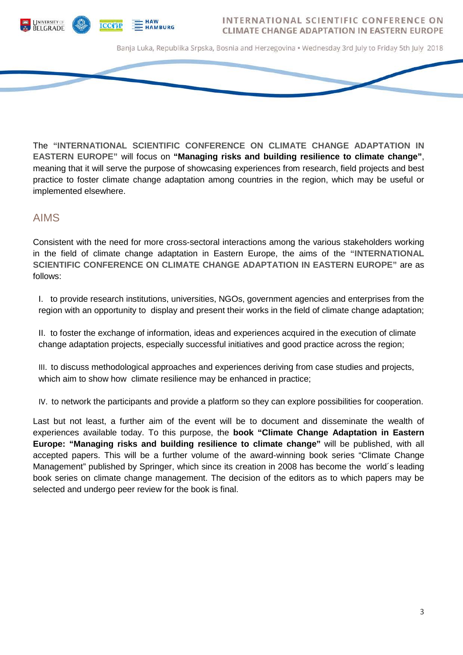

Banja Luka, Republika Srpska, Bosnia and Herzegovina • Wednesday 3rd July to Friday 5th July 2018

The **"INTERNATIONAL SCIENTIFIC CONFERENCE ON CLIMATE CHANGE ADAPTATION IN EASTERN EUROPE"** will focus on **"Managing risks and building resilience to climate change"**, meaning that it will serve the purpose of showcasing experiences from research, field projects and best practice to foster climate change adaptation among countries in the region, which may be useful or implemented elsewhere.

### AIMS

Consistent with the need for more cross-sectoral interactions among the various stakeholders working in the field of climate change adaptation in Eastern Europe, the aims of the **"INTERNATIONAL SCIENTIFIC CONFERENCE ON CLIMATE CHANGE ADAPTATION IN EASTERN EUROPE"** are as follows:

I. to provide research institutions, universities, NGOs, government agencies and enterprises from the region with an opportunity to display and present their works in the field of climate change adaptation;

II. to foster the exchange of information, ideas and experiences acquired in the execution of climate change adaptation projects, especially successful initiatives and good practice across the region;

III. to discuss methodological approaches and experiences deriving from case studies and projects, which aim to show how climate resilience may be enhanced in practice;

IV. to network the participants and provide a platform so they can explore possibilities for cooperation.

Last but not least, a further aim of the event will be to document and disseminate the wealth of experiences available today. To this purpose, the **book "Climate Change Adaptation in Eastern Europe: "Managing risks and building resilience to climate change"** will be published, with all accepted papers. This will be a further volume of the award-winning book series "Climate Change Management" published by Springer, which since its creation in 2008 has become the world´s leading book series on climate change management. The decision of the editors as to which papers may be selected and undergo peer review for the book is final.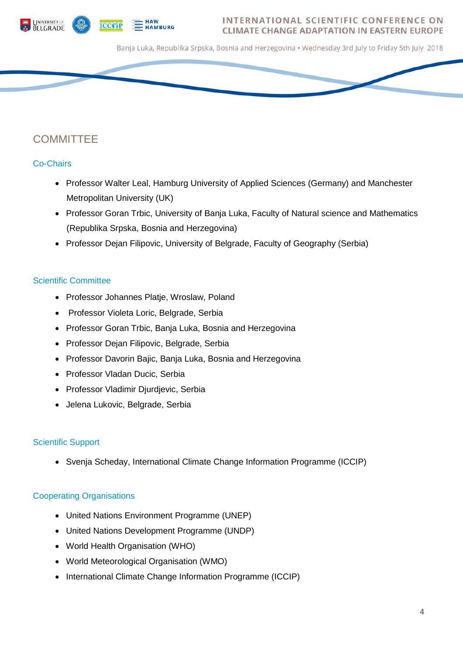



Banja Luka, Republika Srpska, Bosnia and Herzegovina • Wednesday 3rd July to Friday 5th July 2018

## **COMMITTEE**

### Co-Chairs

- Professor Walter Leal, Hamburg University of Applied Sciences (Germany) and Manchester Metropolitan University (UK)
- Professor Goran Trbic, University of Banja Luka, Faculty of Natural science and Mathematics (Republika Srpska, Bosnia and Herzegovina)
- Professor Dejan Filipovic, University of Belgrade, Faculty of Geography (Serbia)

### Scientific Committee

- Professor Johannes Platje, Wroslaw, Poland
- Professor Violeta Loric, Belgrade, Serbia
- Professor Goran Trbic, Banja Luka, Bosnia and Herzegovina
- Professor Dejan Filipovic, Belgrade, Serbia
- Professor Davorin Bajic, Banja Luka, Bosnia and Herzegovina
- Professor Vladan Ducic, Serbia
- Professor Vladimir Djurdjevic, Serbia
- Jelena Lukovic, Belgrade, Serbia

### Scientific Support

• Svenja Scheday, International Climate Change Information Programme (ICCIP)

### Cooperating Organisations

- United Nations Environment Programme (UNEP)
- United Nations Development Programme (UNDP)
- World Health Organisation (WHO)
- World Meteorological Organisation (WMO)
- International Climate Change Information Programme (ICCIP)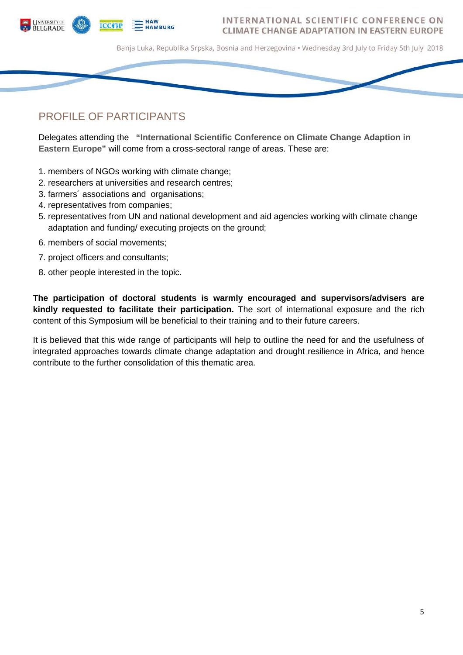

Banja Luka, Republika Srpska, Bosnia and Herzegovina • Wednesday 3rd July to Friday 5th July 2018

# PROFILE OF PARTICIPANTS

Delegates attending the **"International Scientific Conference on Climate Change Adaption in Eastern Europe"** will come from a cross-sectoral range of areas. These are:

- 1. members of NGOs working with climate change;
- 2. researchers at universities and research centres;
- 3. farmers´ associations and organisations;
- 4. representatives from companies;
- 5. representatives from UN and national development and aid agencies working with climate change adaptation and funding/ executing projects on the ground;
- 6. members of social movements;
- 7. project officers and consultants;
- 8. other people interested in the topic.

**The participation of doctoral students is warmly encouraged and supervisors/advisers are kindly requested to facilitate their participation.** The sort of international exposure and the rich content of this Symposium will be beneficial to their training and to their future careers.

It is believed that this wide range of participants will help to outline the need for and the usefulness of integrated approaches towards climate change adaptation and drought resilience in Africa, and hence contribute to the further consolidation of this thematic area.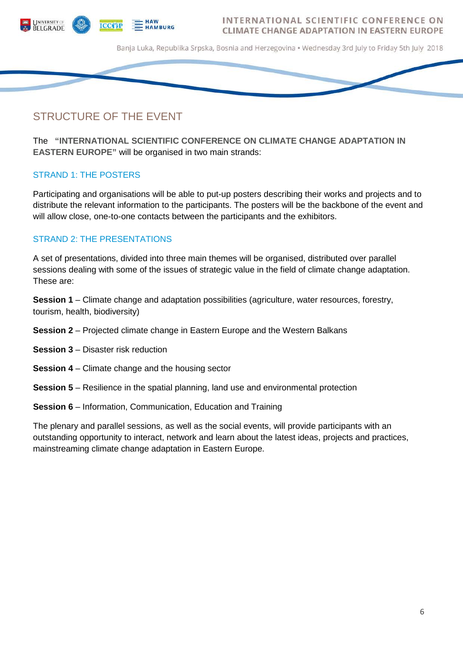

Banja Luka, Republika Srpska, Bosnia and Herzegovina • Wednesday 3rd July to Friday 5th July 2018

# STRUCTURE OF THE EVENT

The **"INTERNATIONAL SCIENTIFIC CONFERENCE ON CLIMATE CHANGE ADAPTATION IN EASTERN EUROPE"** will be organised in two main strands:

### STRAND 1: THE POSTERS

Participating and organisations will be able to put-up posters describing their works and projects and to distribute the relevant information to the participants. The posters will be the backbone of the event and will allow close, one-to-one contacts between the participants and the exhibitors.

### STRAND 2: THE PRESENTATIONS

A set of presentations, divided into three main themes will be organised, distributed over parallel sessions dealing with some of the issues of strategic value in the field of climate change adaptation. These are:

**Session 1** – Climate change and adaptation possibilities (agriculture, water resources, forestry, tourism, health, biodiversity)

- **Session 2** Projected climate change in Eastern Europe and the Western Balkans
- **Session 3** Disaster risk reduction
- **Session 4** Climate change and the housing sector
- **Session 5** Resilience in the spatial planning, land use and environmental protection
- **Session 6** Information, Communication, Education and Training

The plenary and parallel sessions, as well as the social events, will provide participants with an outstanding opportunity to interact, network and learn about the latest ideas, projects and practices, mainstreaming climate change adaptation in Eastern Europe.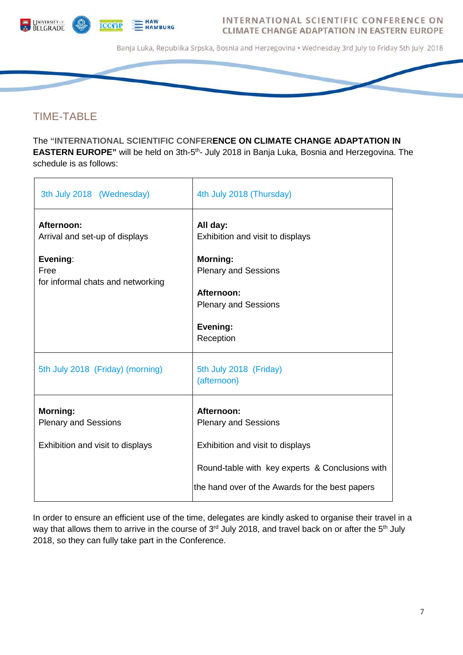

Banja Luka, Republika Srpska, Bosnia and Herzegovina • Wednesday 3rd July to Friday 5th July 2018

## TIME-TABLE

The **"INTERNATIONAL SCIENTIFIC CONFERENCE ON CLIMATE CHANGE ADAPTATION IN EASTERN EUROPE"** will be held on 3th-5<sup>th</sup>- July 2018 in Banja Luka, Bosnia and Herzegovina. The schedule is as follows:

| 3th July 2018 (Wednesday)                                                                             | 4th July 2018 (Thursday)                                                                                                                                             |
|-------------------------------------------------------------------------------------------------------|----------------------------------------------------------------------------------------------------------------------------------------------------------------------|
| Afternoon:<br>Arrival and set-up of displays<br>Evening:<br>Free<br>for informal chats and networking | All day:<br>Exhibition and visit to displays<br><b>Morning:</b><br><b>Plenary and Sessions</b><br>Afternoon:<br><b>Plenary and Sessions</b><br>Evening:<br>Reception |
| 5th July 2018 (Friday) (morning)                                                                      | 5th July 2018 (Friday)<br>(afternoon)                                                                                                                                |
| <b>Morning:</b><br><b>Plenary and Sessions</b><br>Exhibition and visit to displays                    | Afternoon:<br><b>Plenary and Sessions</b><br>Exhibition and visit to displays<br>Round-table with key experts & Conclusions with                                     |
|                                                                                                       | the hand over of the Awards for the best papers                                                                                                                      |

In order to ensure an efficient use of the time, delegates are kindly asked to organise their travel in a way that allows them to arrive in the course of 3<sup>rd</sup> July 2018, and travel back on or after the 5<sup>th</sup> July 2018, so they can fully take part in the Conference.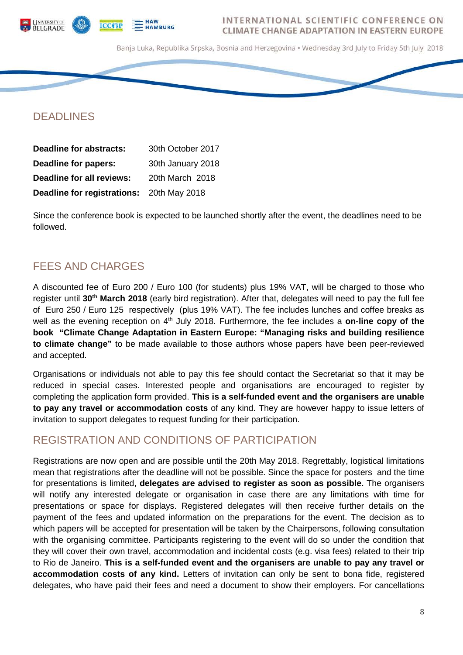



Banja Luka, Republika Srpska, Bosnia and Herzegovina • Wednesday 3rd July to Friday 5th July 2018

# DEADLINES

| <b>Deadline for abstracts:</b>            | 30th October 2017 |
|-------------------------------------------|-------------------|
| Deadline for papers:                      | 30th January 2018 |
| Deadline for all reviews:                 | 20th March 2018   |
| Deadline for registrations: 20th May 2018 |                   |

Since the conference book is expected to be launched shortly after the event, the deadlines need to be followed.

# FEES AND CHARGES

A discounted fee of Euro 200 / Euro 100 (for students) plus 19% VAT, will be charged to those who register until **30th March 2018** (early bird registration). After that, delegates will need to pay the full fee of Euro 250 / Euro 125 respectively (plus 19% VAT). The fee includes lunches and coffee breaks as well as the evening reception on 4<sup>th</sup> July 2018. Furthermore, the fee includes a **on-line copy of the book "Climate Change Adaptation in Eastern Europe: "Managing risks and building resilience to climate change"** to be made available to those authors whose papers have been peer-reviewed and accepted.

Organisations or individuals not able to pay this fee should contact the Secretariat so that it may be reduced in special cases. Interested people and organisations are encouraged to register by completing the application form provided. **This is a self-funded event and the organisers are unable to pay any travel or accommodation costs** of any kind. They are however happy to issue letters of invitation to support delegates to request funding for their participation.

# REGISTRATION AND CONDITIONS OF PARTICIPATION

Registrations are now open and are possible until the 20th May 2018. Regrettably, logistical limitations mean that registrations after the deadline will not be possible. Since the space for posters and the time for presentations is limited, **delegates are advised to register as soon as possible.** The organisers will notify any interested delegate or organisation in case there are any limitations with time for presentations or space for displays. Registered delegates will then receive further details on the payment of the fees and updated information on the preparations for the event. The decision as to which papers will be accepted for presentation will be taken by the Chairpersons, following consultation with the organising committee. Participants registering to the event will do so under the condition that they will cover their own travel, accommodation and incidental costs (e.g. visa fees) related to their trip to Rio de Janeiro. **This is a self-funded event and the organisers are unable to pay any travel or accommodation costs of any kind.** Letters of invitation can only be sent to bona fide, registered delegates, who have paid their fees and need a document to show their employers. For cancellations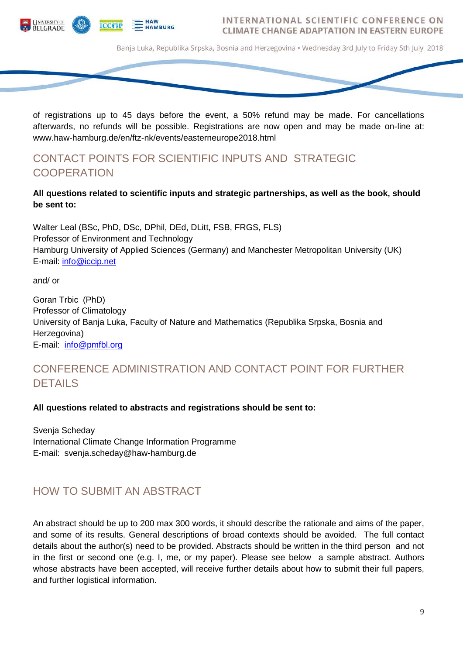

Banja Luka, Republika Srpska, Bosnia and Herzegovina • Wednesday 3rd July to Friday 5th July 2018

of registrations up to 45 days before the event, a 50% refund may be made. For cancellations afterwards, no refunds will be possible. Registrations are now open and may be made on-line at: www.haw-hamburg.de/en/ftz-nk/events/easterneurope2018.html

# CONTACT POINTS FOR SCIENTIFIC INPUTS AND STRATEGIC **COOPERATION**

### **All questions related to scientific inputs and strategic partnerships, as well as the book, should be sent to:**

Walter Leal (BSc, PhD, DSc, DPhil, DEd, DLitt, FSB, FRGS, FLS) Professor of Environment and Technology Hamburg University of Applied Sciences (Germany) and Manchester Metropolitan University (UK) E-mail: [info@iccip.net](mailto:info@iccip.net)

and/ or

Goran Trbic (PhD) Professor of Climatology University of Banja Luka, Faculty of Nature and Mathematics (Republika Srpska, Bosnia and Herzegovina) E-mail: [info@pmfbl.org](mailto:info@pmfbl.org)

# CONFERENCE ADMINISTRATION AND CONTACT POINT FOR FURTHER DETAILS

#### **All questions related to abstracts and registrations should be sent to:**

Svenja Scheday International Climate Change Information Programme E-mail: svenja.scheday@haw-hamburg.de

### HOW TO SUBMIT AN ABSTRACT

An abstract should be up to 200 max 300 words, it should describe the rationale and aims of the paper, and some of its results. General descriptions of broad contexts should be avoided. The full contact details about the author(s) need to be provided. Abstracts should be written in the third person and not in the first or second one (e.g. I, me, or my paper). Please see below a sample abstract. Authors whose abstracts have been accepted, will receive further details about how to submit their full papers, and further logistical information.